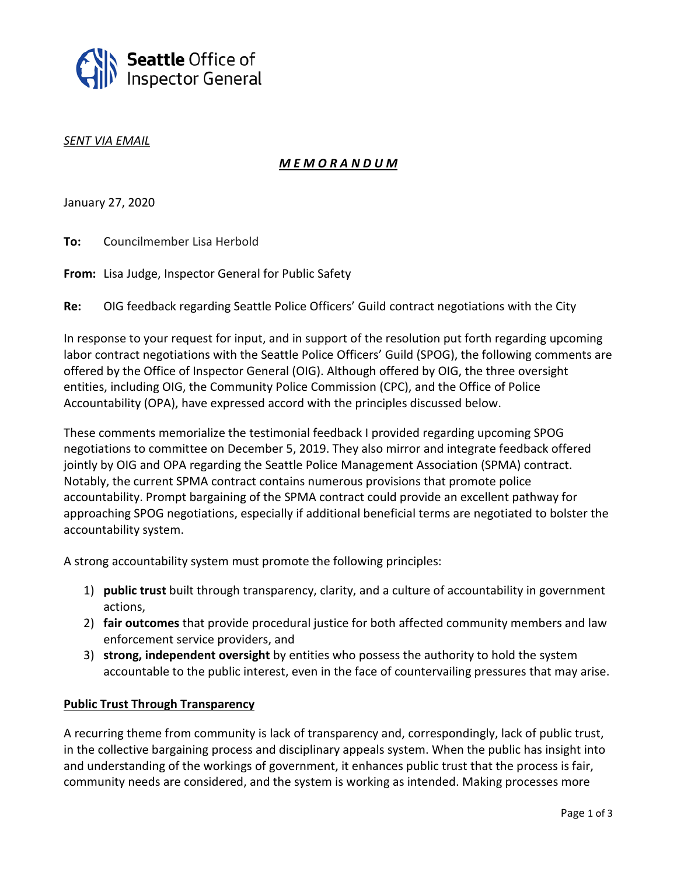

#### *SENT VIA EMAIL*

# *M E M O R A N D U M*

January 27, 2020

**To:** Councilmember Lisa Herbold

**From:** Lisa Judge, Inspector General for Public Safety

**Re:** OIG feedback regarding Seattle Police Officers' Guild contract negotiations with the City

In response to your request for input, and in support of the resolution put forth regarding upcoming labor contract negotiations with the Seattle Police Officers' Guild (SPOG), the following comments are offered by the Office of Inspector General (OIG). Although offered by OIG, the three oversight entities, including OIG, the Community Police Commission (CPC), and the Office of Police Accountability (OPA), have expressed accord with the principles discussed below.

These comments memorialize the testimonial feedback I provided regarding upcoming SPOG negotiations to committee on December 5, 2019. They also mirror and integrate feedback offered jointly by OIG and OPA regarding the Seattle Police Management Association (SPMA) contract. Notably, the current SPMA contract contains numerous provisions that promote police accountability. Prompt bargaining of the SPMA contract could provide an excellent pathway for approaching SPOG negotiations, especially if additional beneficial terms are negotiated to bolster the accountability system.

A strong accountability system must promote the following principles:

- 1) **public trust** built through transparency, clarity, and a culture of accountability in government actions,
- 2) **fair outcomes** that provide procedural justice for both affected community members and law enforcement service providers, and
- 3) **strong, independent oversight** by entities who possess the authority to hold the system accountable to the public interest, even in the face of countervailing pressures that may arise.

## **Public Trust Through Transparency**

A recurring theme from community is lack of transparency and, correspondingly, lack of public trust, in the collective bargaining process and disciplinary appeals system. When the public has insight into and understanding of the workings of government, it enhances public trust that the process is fair, community needs are considered, and the system is working as intended. Making processes more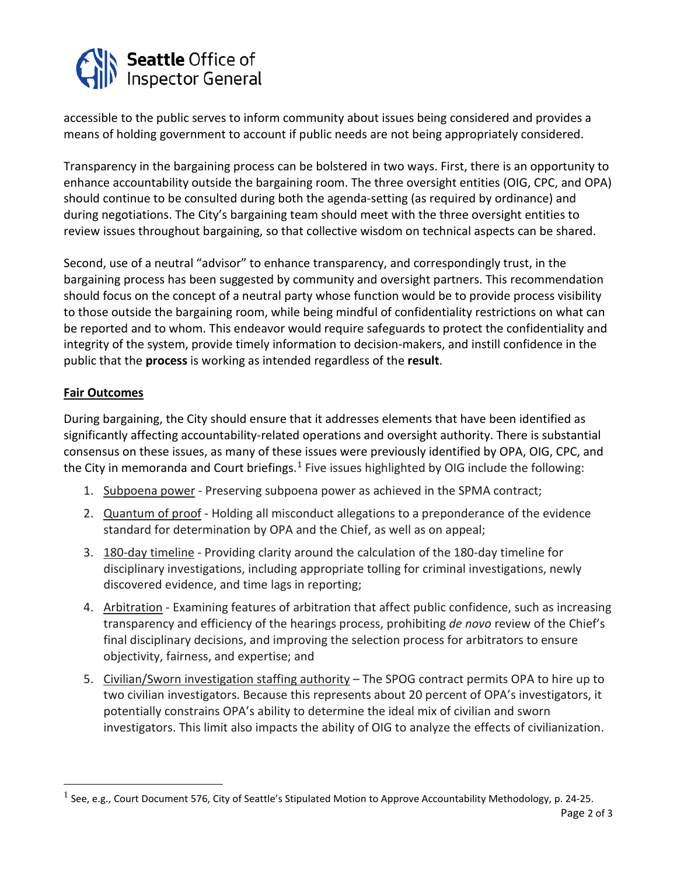

accessible to the public serves to inform community about issues being considered and provides a means of holding government to account if public needs are not being appropriately considered.

Transparency in the bargaining process can be bolstered in two ways. First, there is an opportunity to enhance accountability outside the bargaining room. The three oversight entities (OIG, CPC, and OPA) should continue to be consulted during both the agenda-setting (as required by ordinance) and during negotiations. The City's bargaining team should meet with the three oversight entities to review issues throughout bargaining, so that collective wisdom on technical aspects can be shared.

Second, use of a neutral "advisor" to enhance transparency, and correspondingly trust, in the bargaining process has been suggested by community and oversight partners. This recommendation should focus on the concept of a neutral party whose function would be to provide process visibility to those outside the bargaining room, while being mindful of confidentiality restrictions on what can be reported and to whom. This endeavor would require safeguards to protect the confidentiality and integrity of the system, provide timely information to decision-makers, and instill confidence in the public that the **process** is working as intended regardless of the **result**.

# **Fair Outcomes**

During bargaining, the City should ensure that it addresses elements that have been identified as significantly affecting accountability-related operations and oversight authority. There is substantial consensus on these issues, as many of these issues were previously identified by OPA, OIG, CPC, and the City in memoranda and Court briefings.<sup>[1](#page-1-0)</sup> Five issues highlighted by OIG include the following:

- 1. Subpoena power Preserving subpoena power as achieved in the SPMA contract;
- 2. Quantum of proof Holding all misconduct allegations to a preponderance of the evidence standard for determination by OPA and the Chief, as well as on appeal;
- 3. 180-day timeline Providing clarity around the calculation of the 180-day timeline for disciplinary investigations, including appropriate tolling for criminal investigations, newly discovered evidence, and time lags in reporting;
- 4. Arbitration Examining features of arbitration that affect public confidence, such as increasing transparency and efficiency of the hearings process, prohibiting *de novo* review of the Chief's final disciplinary decisions, and improving the selection process for arbitrators to ensure objectivity, fairness, and expertise; and
- 5. Civilian/Sworn investigation staffing authority The SPOG contract permits OPA to hire up to two civilian investigators. Because this represents about 20 percent of OPA's investigators, it potentially constrains OPA's ability to determine the ideal mix of civilian and sworn investigators. This limit also impacts the ability of OIG to analyze the effects of civilianization.

<span id="page-1-0"></span> $1$  See, e.g., Court Document 576, City of Seattle's Stipulated Motion to Approve Accountability Methodology, p. 24-25.